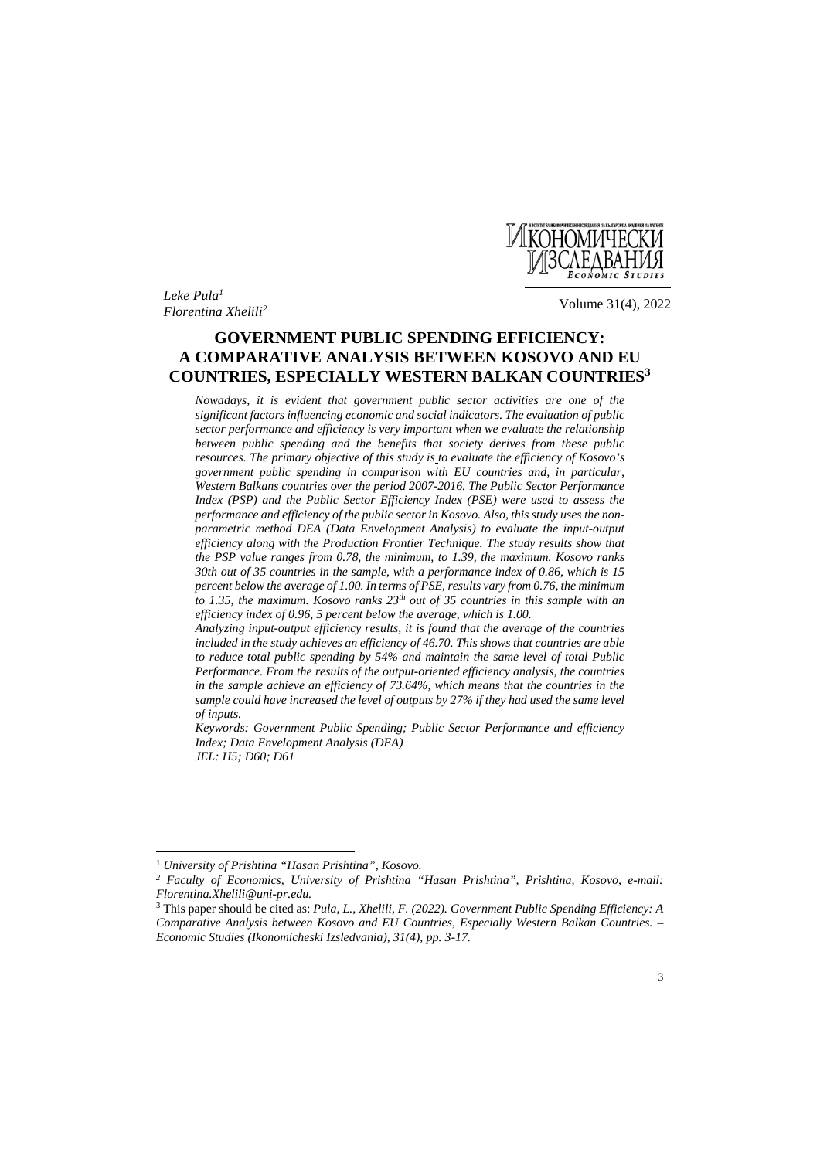

*Leke Pula1 Florentina Xhelili2* Volume 31(4), 2022

# **GOVERNMENT PUBLIC SPENDING EFFICIENCY: A COMPARATIVE ANALYSIS BETWEEN KOSOVO AND EU COUNTRIES, ESPECIALLY WESTERN BALKAN COUNTRIES3**

*Nowadays, it is evident that government public sector activities are one of the significant factors influencing economic and social indicators. The evaluation of public sector performance and efficiency is very important when we evaluate the relationship between public spending and the benefits that society derives from these public resources. The primary objective of this study is to evaluate the efficiency of Kosovo's government public spending in comparison with EU countries and, in particular, Western Balkans countries over the period 2007-2016. The Public Sector Performance Index (PSP) and the Public Sector Efficiency Index (PSE) were used to assess the performance and efficiency of the public sector in Kosovo. Also, this study uses the nonparametric method DEA (Data Envelopment Analysis) to evaluate the input-output efficiency along with the Production Frontier Technique. The study results show that the PSP value ranges from 0.78, the minimum, to 1.39, the maximum. Kosovo ranks 30th out of 35 countries in the sample, with a performance index of 0.86, which is 15 percent below the average of 1.00. In terms of PSE, results vary from 0.76, the minimum to 1.35, the maximum. Kosovo ranks 23<sup>th</sup> out of 35 countries in this sample with an efficiency index of 0.96, 5 percent below the average, which is 1.00.* 

*Analyzing input-output efficiency results, it is found that the average of the countries included in the study achieves an efficiency of 46.70. This shows that countries are able to reduce total public spending by 54% and maintain the same level of total Public Performance. From the results of the output-oriented efficiency analysis, the countries*  in the sample achieve an efficiency of 73.64%, which means that the countries in the *sample could have increased the level of outputs by 27% if they had used the same level of inputs.* 

*Keywords: Government Public Spending; Public Sector Performance and efficiency Index; Data Envelopment Analysis (DEA) JEL: H5; D60; D61* 

 $\overline{\phantom{a}}$ 

<sup>1</sup> *University of Prishtina "Hasan Prishtina", Kosovo.*

*<sup>2</sup> Faculty of Economics, University of Prishtina "Hasan Prishtina", Prishtina, Kosovo, e-mail: Florentina.Xhelili@uni-pr.edu.* 

<sup>3</sup> This paper should be cited as: *Pula, L., Xhelili, F. (2022). Government Public Spending Efficiency: A Comparative Analysis between Kosovo and EU Countries, Especially Western Balkan Countries. – Economic Studies (Ikonomicheski Izsledvania), 31(4), pp. 3-17.*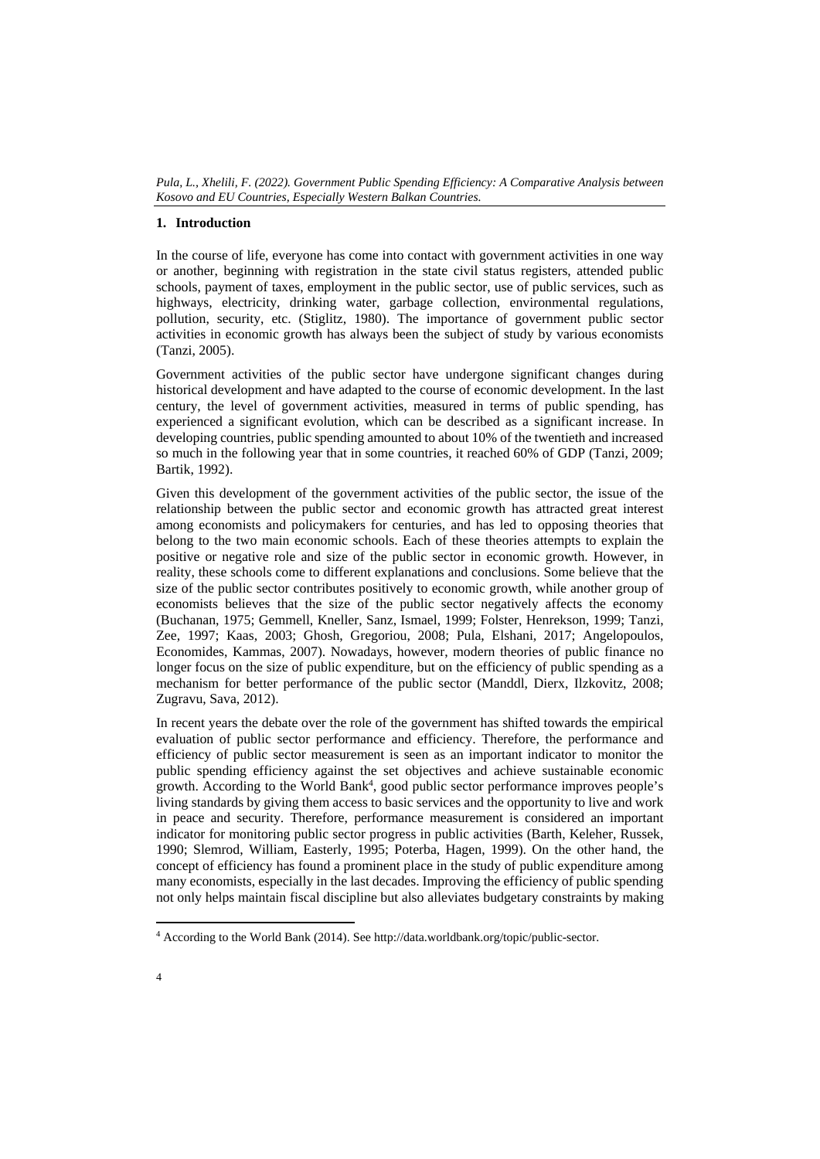## **1. Introduction**

In the course of life, everyone has come into contact with government activities in one way or another, beginning with registration in the state civil status registers, attended public schools, payment of taxes, employment in the public sector, use of public services, such as highways, electricity, drinking water, garbage collection, environmental regulations, pollution, security, etc. (Stiglitz, 1980). The importance of government public sector activities in economic growth has always been the subject of study by various economists (Tanzi, 2005).

Government activities of the public sector have undergone significant changes during historical development and have adapted to the course of economic development. In the last century, the level of government activities, measured in terms of public spending, has experienced a significant evolution, which can be described as a significant increase. In developing countries, public spending amounted to about 10% of the twentieth and increased so much in the following year that in some countries, it reached 60% of GDP (Tanzi, 2009; Bartik, 1992).

Given this development of the government activities of the public sector, the issue of the relationship between the public sector and economic growth has attracted great interest among economists and policymakers for centuries, and has led to opposing theories that belong to the two main economic schools. Each of these theories attempts to explain the positive or negative role and size of the public sector in economic growth. However, in reality, these schools come to different explanations and conclusions. Some believe that the size of the public sector contributes positively to economic growth, while another group of economists believes that the size of the public sector negatively affects the economy (Buchanan, 1975; Gemmell, Kneller, Sanz, Ismael, 1999; Folster, Henrekson, 1999; Tanzi, Zee, 1997; Kaas, 2003; Ghosh, Gregoriou, 2008; Pula, Elshani, 2017; Angelopoulos, Economides, Kammas, 2007). Nowadays, however, modern theories of public finance no longer focus on the size of public expenditure, but on the efficiency of public spending as a mechanism for better performance of the public sector (Manddl, Dierx, Ilzkovitz, 2008; Zugravu, Sava, 2012).

In recent years the debate over the role of the government has shifted towards the empirical evaluation of public sector performance and efficiency. Therefore, the performance and efficiency of public sector measurement is seen as an important indicator to monitor the public spending efficiency against the set objectives and achieve sustainable economic growth. According to the World Bank<sup>4</sup>, good public sector performance improves people's living standards by giving them access to basic services and the opportunity to live and work in peace and security. Therefore, performance measurement is considered an important indicator for monitoring public sector progress in public activities (Barth, Keleher, Russek, 1990; Slemrod, William, Easterly, 1995; Poterba, Hagen, 1999). On the other hand, the concept of efficiency has found a prominent place in the study of public expenditure among many economists, especially in the last decades. Improving the efficiency of public spending not only helps maintain fiscal discipline but also alleviates budgetary constraints by making

 $\overline{\phantom{a}}$ 

<sup>&</sup>lt;sup>4</sup> According to the World Bank (2014). See http://data.worldbank.org/topic/public-sector.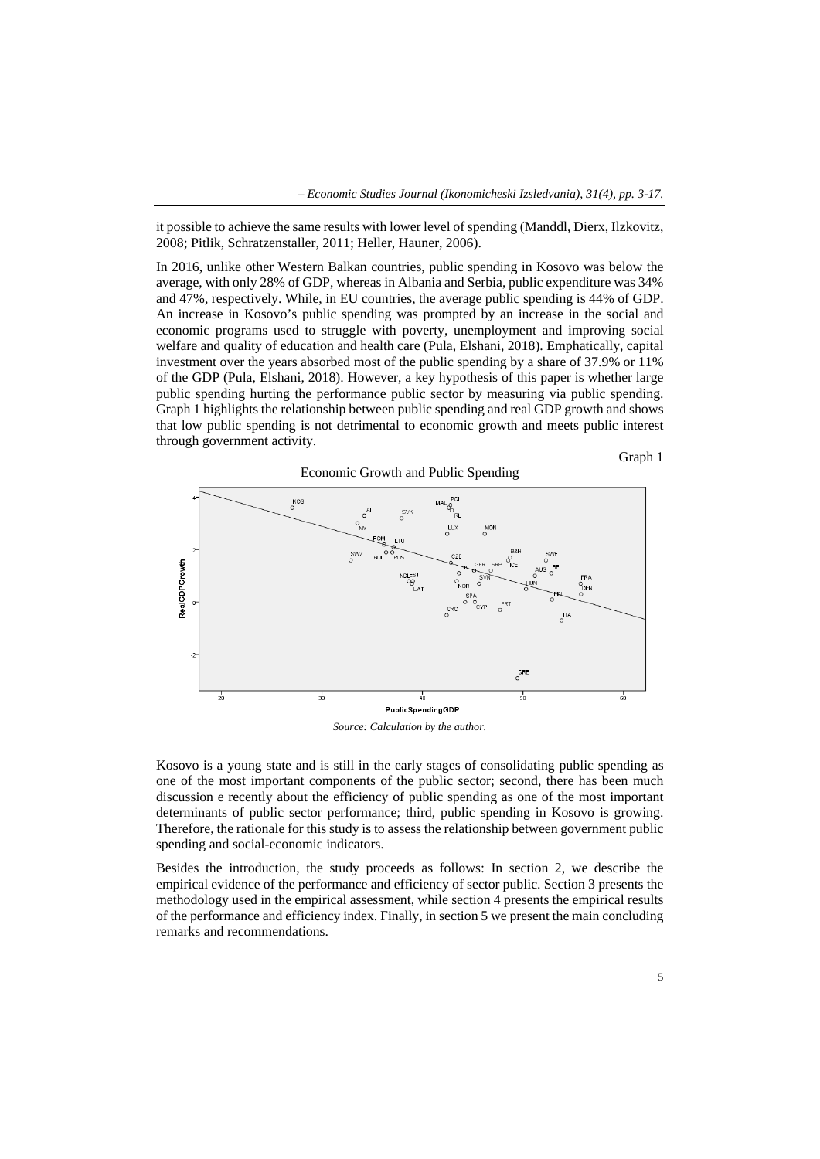it possible to achieve the same results with lower level of spending (Manddl, Dierx, Ilzkovitz, 2008; Pitlik, Schratzenstaller, 2011; Heller, Hauner, 2006).

In 2016, unlike other Western Balkan countries, public spending in Kosovo was below the average, with only 28% of GDP, whereas in Albania and Serbia, public expenditure was 34% and 47%, respectively. While, in EU countries, the average public spending is 44% of GDP. An increase in Kosovo's public spending was prompted by an increase in the social and economic programs used to struggle with poverty, unemployment and improving social welfare and quality of education and health care (Pula, Elshani, 2018). Emphatically, capital investment over the years absorbed most of the public spending by a share of 37.9% or 11% of the GDP (Pula, Elshani, 2018). However, a key hypothesis of this paper is whether large public spending hurting the performance public sector by measuring via public spending. Graph 1 highlights the relationship between public spending and real GDP growth and shows that low public spending is not detrimental to economic growth and meets public interest through government activity.





*Source: Calculation by the author.*

Kosovo is a young state and is still in the early stages of consolidating public spending as one of the most important components of the public sector; second, there has been much discussion e recently about the efficiency of public spending as one of the most important determinants of public sector performance; third, public spending in Kosovo is growing. Therefore, the rationale for this study is to assess the relationship between government public spending and social-economic indicators.

Besides the introduction, the study proceeds as follows: In section 2, we describe the empirical evidence of the performance and efficiency of sector public. Section 3 presents the methodology used in the empirical assessment, while section 4 presents the empirical results of the performance and efficiency index. Finally, in section 5 we present the main concluding remarks and recommendations.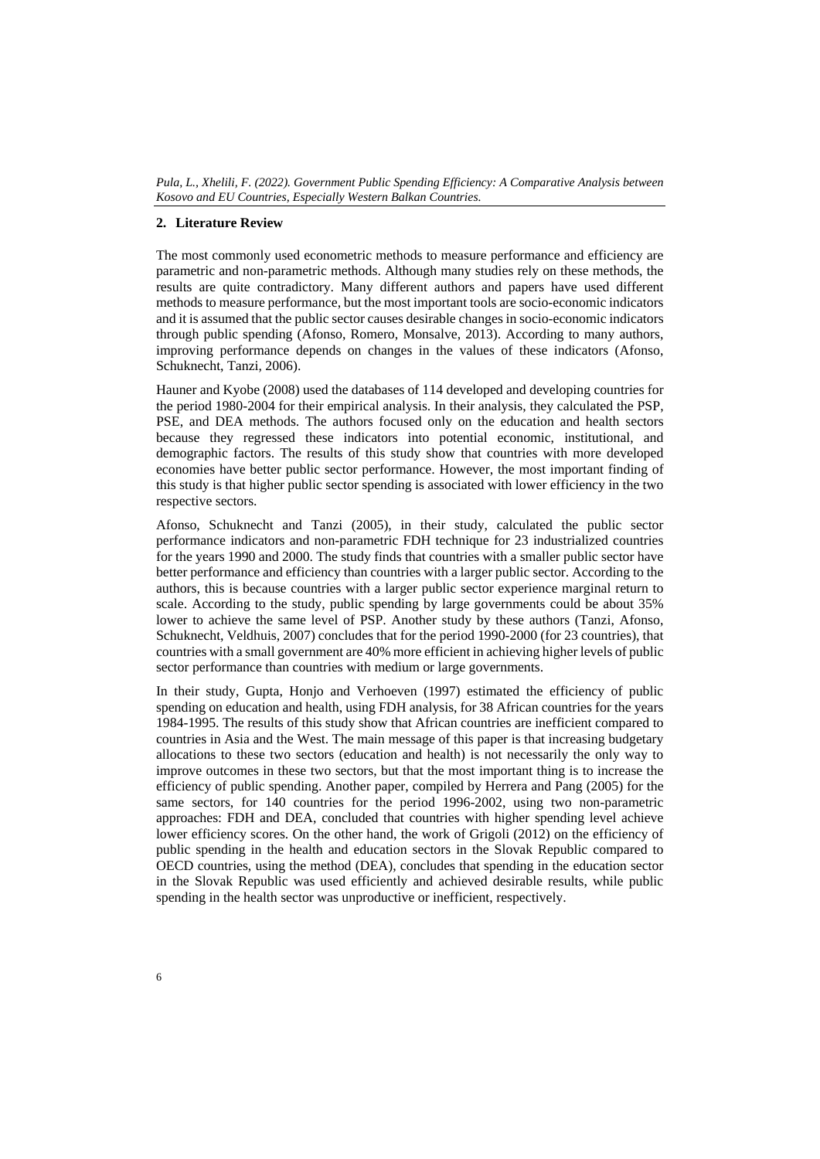## **2. Literature Review**

The most commonly used econometric methods to measure performance and efficiency are parametric and non-parametric methods. Although many studies rely on these methods, the results are quite contradictory. Many different authors and papers have used different methods to measure performance, but the most important tools are socio-economic indicators and it is assumed that the public sector causes desirable changes in socio-economic indicators through public spending (Afonso, Romero, Monsalve, 2013). According to many authors, improving performance depends on changes in the values of these indicators (Afonso, Schuknecht, Tanzi, 2006).

Hauner and Kyobe (2008) used the databases of 114 developed and developing countries for the period 1980-2004 for their empirical analysis. In their analysis, they calculated the PSP, PSE, and DEA methods. The authors focused only on the education and health sectors because they regressed these indicators into potential economic, institutional, and demographic factors. The results of this study show that countries with more developed economies have better public sector performance. However, the most important finding of this study is that higher public sector spending is associated with lower efficiency in the two respective sectors.

Afonso, Schuknecht and Tanzi (2005), in their study, calculated the public sector performance indicators and non-parametric FDH technique for 23 industrialized countries for the years 1990 and 2000. The study finds that countries with a smaller public sector have better performance and efficiency than countries with a larger public sector. According to the authors, this is because countries with a larger public sector experience marginal return to scale. According to the study, public spending by large governments could be about 35% lower to achieve the same level of PSP. Another study by these authors (Tanzi, Afonso, Schuknecht, Veldhuis, 2007) concludes that for the period 1990-2000 (for 23 countries), that countries with a small government are 40% more efficient in achieving higher levels of public sector performance than countries with medium or large governments.

In their study, Gupta, Honjo and Verhoeven (1997) estimated the efficiency of public spending on education and health, using FDH analysis, for 38 African countries for the years 1984-1995. The results of this study show that African countries are inefficient compared to countries in Asia and the West. The main message of this paper is that increasing budgetary allocations to these two sectors (education and health) is not necessarily the only way to improve outcomes in these two sectors, but that the most important thing is to increase the efficiency of public spending. Another paper, compiled by Herrera and Pang (2005) for the same sectors, for 140 countries for the period 1996-2002, using two non-parametric approaches: FDH and DEA, concluded that countries with higher spending level achieve lower efficiency scores. On the other hand, the work of Grigoli (2012) on the efficiency of public spending in the health and education sectors in the Slovak Republic compared to OECD countries, using the method (DEA), concludes that spending in the education sector in the Slovak Republic was used efficiently and achieved desirable results, while public spending in the health sector was unproductive or inefficient, respectively.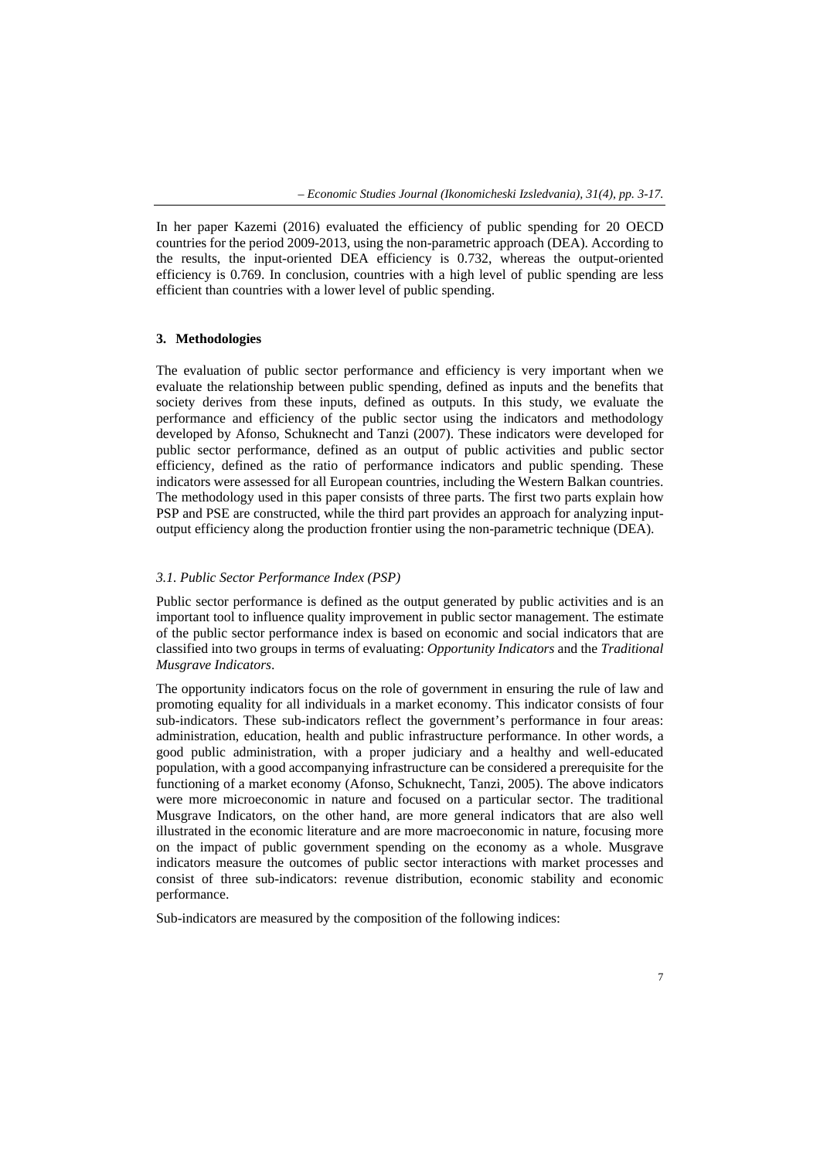In her paper Kazemi (2016) evaluated the efficiency of public spending for 20 OECD countries for the period 2009-2013, using the non-parametric approach (DEA). According to the results, the input-oriented DEA efficiency is 0.732, whereas the output-oriented efficiency is 0.769. In conclusion, countries with a high level of public spending are less efficient than countries with a lower level of public spending.

## **3. Methodologies**

The evaluation of public sector performance and efficiency is very important when we evaluate the relationship between public spending, defined as inputs and the benefits that society derives from these inputs, defined as outputs. In this study, we evaluate the performance and efficiency of the public sector using the indicators and methodology developed by Afonso, Schuknecht and Tanzi (2007). These indicators were developed for public sector performance, defined as an output of public activities and public sector efficiency, defined as the ratio of performance indicators and public spending. These indicators were assessed for all European countries, including the Western Balkan countries. The methodology used in this paper consists of three parts. The first two parts explain how PSP and PSE are constructed, while the third part provides an approach for analyzing inputoutput efficiency along the production frontier using the non-parametric technique (DEA).

## *3.1. Public Sector Performance Index (PSP)*

Public sector performance is defined as the output generated by public activities and is an important tool to influence quality improvement in public sector management. The estimate of the public sector performance index is based on economic and social indicators that are classified into two groups in terms of evaluating: *Opportunity Indicators* and the *Traditional Musgrave Indicators*.

The opportunity indicators focus on the role of government in ensuring the rule of law and promoting equality for all individuals in a market economy. This indicator consists of four sub-indicators. These sub-indicators reflect the government's performance in four areas: administration, education, health and public infrastructure performance. In other words, a good public administration, with a proper judiciary and a healthy and well-educated population, with a good accompanying infrastructure can be considered a prerequisite for the functioning of a market economy (Afonso, Schuknecht, Tanzi, 2005). The above indicators were more microeconomic in nature and focused on a particular sector. The traditional Musgrave Indicators, on the other hand, are more general indicators that are also well illustrated in the economic literature and are more macroeconomic in nature, focusing more on the impact of public government spending on the economy as a whole. Musgrave indicators measure the outcomes of public sector interactions with market processes and consist of three sub-indicators: revenue distribution, economic stability and economic performance.

Sub-indicators are measured by the composition of the following indices: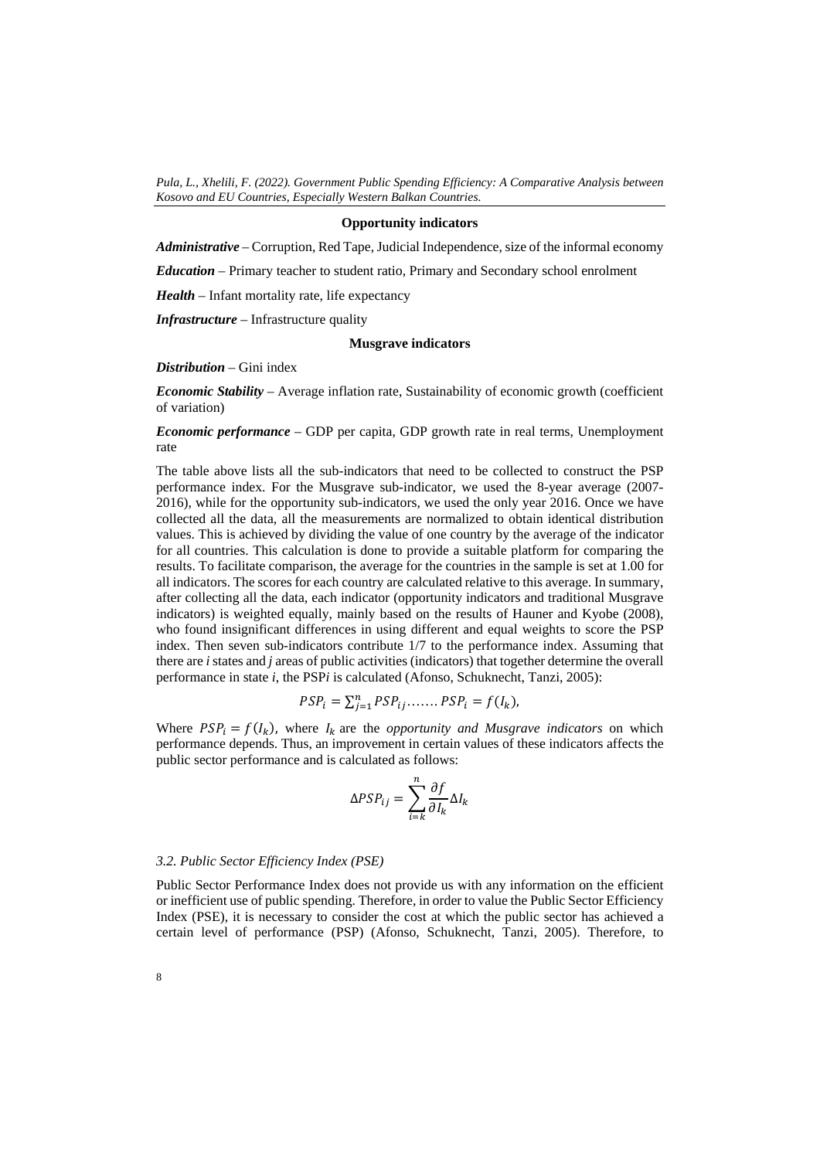#### **Opportunity indicators**

*Administrative –* Corruption, Red Tape, Judicial Independence, size of the informal economy

*Education –* Primary teacher to student ratio, Primary and Secondary school enrolment

*Health –* Infant mortality rate, life expectancy

*Infrastructure –* Infrastructure quality

## **Musgrave indicators**

## *Distribution –* Gini index

*Economic Stability –* Average inflation rate, Sustainability of economic growth (coefficient of variation)

*Economic performance –* GDP per capita, GDP growth rate in real terms, Unemployment rate

The table above lists all the sub-indicators that need to be collected to construct the PSP performance index. For the Musgrave sub-indicator, we used the 8-year average (2007- 2016), while for the opportunity sub-indicators, we used the only year 2016. Once we have collected all the data, all the measurements are normalized to obtain identical distribution values. This is achieved by dividing the value of one country by the average of the indicator for all countries. This calculation is done to provide a suitable platform for comparing the results. To facilitate comparison, the average for the countries in the sample is set at 1.00 for all indicators. The scores for each country are calculated relative to this average. In summary, after collecting all the data, each indicator (opportunity indicators and traditional Musgrave indicators) is weighted equally, mainly based on the results of Hauner and Kyobe (2008), who found insignificant differences in using different and equal weights to score the PSP index. Then seven sub-indicators contribute 1/7 to the performance index. Assuming that there are *i* states and *j* areas of public activities (indicators) that together determine the overall performance in state *i*, the PSP*i* is calculated (Afonso, Schuknecht, Tanzi, 2005):

$$
PSP_i = \sum_{j=1}^n PSP_{ij} \dots \dots \, PSP_i = f(I_k),
$$

Where  $PSP_i = f(I_k)$ , where  $I_k$  are the *opportunity and Musgrave indicators* on which performance depends. Thus, an improvement in certain values of these indicators affects the public sector performance and is calculated as follows:

$$
\Delta PSP_{ij} = \sum_{i=k}^{n} \frac{\partial f}{\partial I_k} \Delta I_k
$$

#### *3.2. Public Sector Efficiency Index (PSE)*

Public Sector Performance Index does not provide us with any information on the efficient or inefficient use of public spending. Therefore, in order to value the Public Sector Efficiency Index (PSE), it is necessary to consider the cost at which the public sector has achieved a certain level of performance (PSP) (Afonso, Schuknecht, Tanzi, 2005). Therefore, to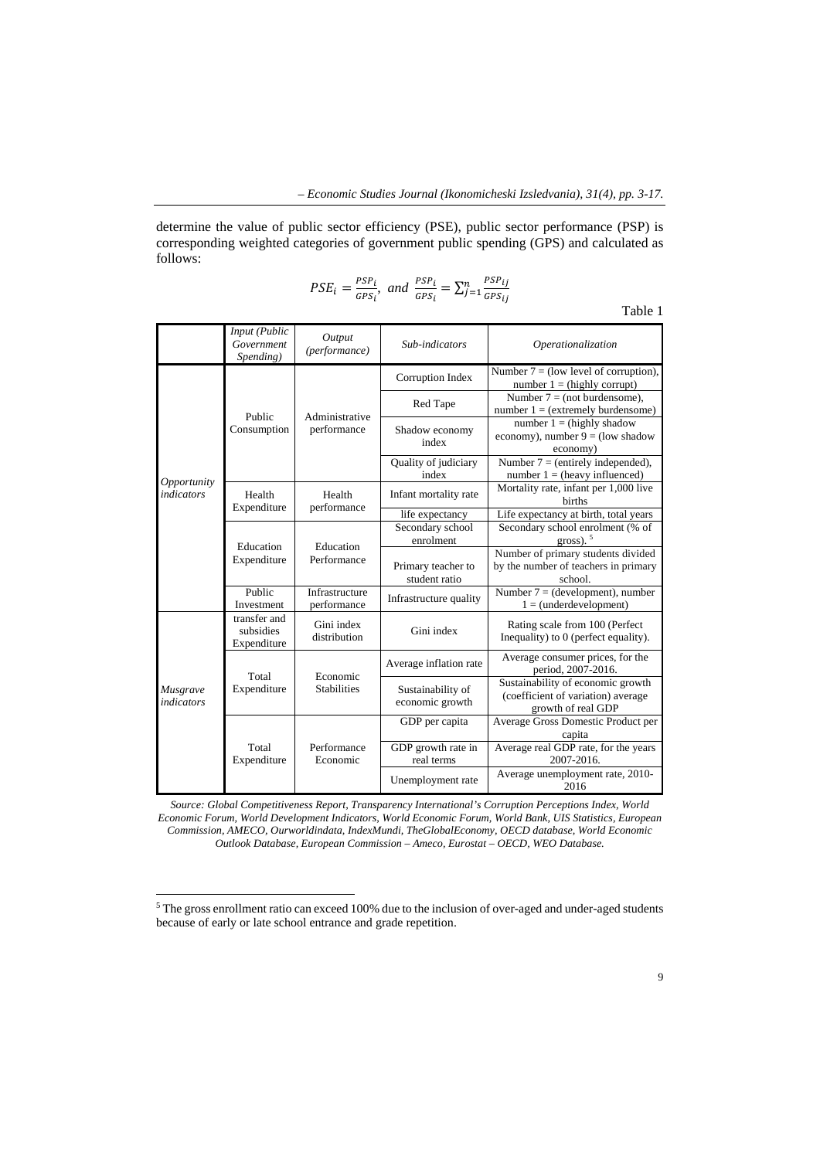determine the value of public sector efficiency (PSE), public sector performance (PSP) is corresponding weighted categories of government public spending (GPS) and calculated as follows:

$$
PSE_i = \frac{PSP_i}{GPS_i}, \ and \ \frac{PSP_i}{GPS_i} = \sum_{j=1}^{n} \frac{PSP_{ij}}{GPS_{ij}}
$$

Table 1

|                                                                                                           | Input (Public<br>Government<br>Spending) | Output<br>(performance)                                                                                                               | Sub-indicators                                         | Operationalization                                                                            |  |  |
|-----------------------------------------------------------------------------------------------------------|------------------------------------------|---------------------------------------------------------------------------------------------------------------------------------------|--------------------------------------------------------|-----------------------------------------------------------------------------------------------|--|--|
|                                                                                                           |                                          |                                                                                                                                       | Corruption Index                                       | Number $7 =$ (low level of corruption),<br>number $1 = (highly corrupt)$                      |  |  |
| Opportunity<br><i>indicators</i>                                                                          | Public                                   |                                                                                                                                       | Red Tape                                               | Number $7 = (not$ burdensome),<br>number $1 = (extremely burden some)$                        |  |  |
|                                                                                                           | Consumption                              | performance                                                                                                                           | Shadow economy<br>index                                | number $1 = (highly shadow)$<br>economy), number $9 =$ (low shadow<br>economy)                |  |  |
|                                                                                                           |                                          |                                                                                                                                       | Quality of judiciary<br>index                          | Number $7 = (entirely independent)$ ,<br>number $1 =$ (heavy influenced)                      |  |  |
|                                                                                                           | Health                                   | Health                                                                                                                                | Infant mortality rate                                  | Mortality rate, infant per 1,000 live<br><b>births</b>                                        |  |  |
|                                                                                                           |                                          |                                                                                                                                       | life expectancy                                        | Life expectancy at birth, total years                                                         |  |  |
|                                                                                                           |                                          |                                                                                                                                       | Secondary school<br>enrolment                          | Secondary school enrolment (% of<br>gross). $5$                                               |  |  |
|                                                                                                           | Expenditure                              | Performance                                                                                                                           | Primary teacher to<br>student ratio                    | Number of primary students divided<br>by the number of teachers in primary<br>school.         |  |  |
|                                                                                                           | Public<br>Investment                     | Infrastructure<br>performance                                                                                                         | Infrastructure quality                                 | Number $7 = (development)$ , number<br>$1 = (underdevelopment)$                               |  |  |
|                                                                                                           | transfer and<br>subsidies<br>Expenditure | Administrative<br>performance<br>Education<br>Gini index<br>distribution<br>Economic<br><b>Stabilities</b><br>Performance<br>Economic | Gini index                                             | Rating scale from 100 (Perfect<br>Inequality) to 0 (perfect equality).                        |  |  |
| Expenditure<br>Education<br>Total<br>Expenditure<br>Musgrave<br><i>indicators</i><br>Total<br>Expenditure |                                          | Average inflation rate                                                                                                                | Average consumer prices, for the<br>period, 2007-2016. |                                                                                               |  |  |
|                                                                                                           |                                          |                                                                                                                                       | Sustainability of<br>economic growth                   | Sustainability of economic growth<br>(coefficient of variation) average<br>growth of real GDP |  |  |
|                                                                                                           |                                          |                                                                                                                                       | GDP per capita                                         | Average Gross Domestic Product per<br>capita                                                  |  |  |
|                                                                                                           |                                          |                                                                                                                                       | GDP growth rate in<br>real terms                       | Average real GDP rate, for the years<br>2007-2016.                                            |  |  |
|                                                                                                           |                                          |                                                                                                                                       | Unemployment rate                                      | Average unemployment rate, 2010-<br>2016                                                      |  |  |

*Source: Global Competitiveness Report, Transparency International's Corruption Perceptions Index, World Economic Forum, World Development Indicators, World Economic Forum, World Bank, UIS Statistics, European Commission, AMECO, Ourworldindata, IndexMundi, TheGlobalEconomy, OECD database, World Economic Outlook Database, European Commission – Ameco, Eurostat – OECD, WEO Database.* 

 $\overline{\phantom{a}}$ 

<sup>5</sup> The gross enrollment ratio can exceed 100% due to the inclusion of over-aged and under-aged students because of early or late school entrance and grade repetition.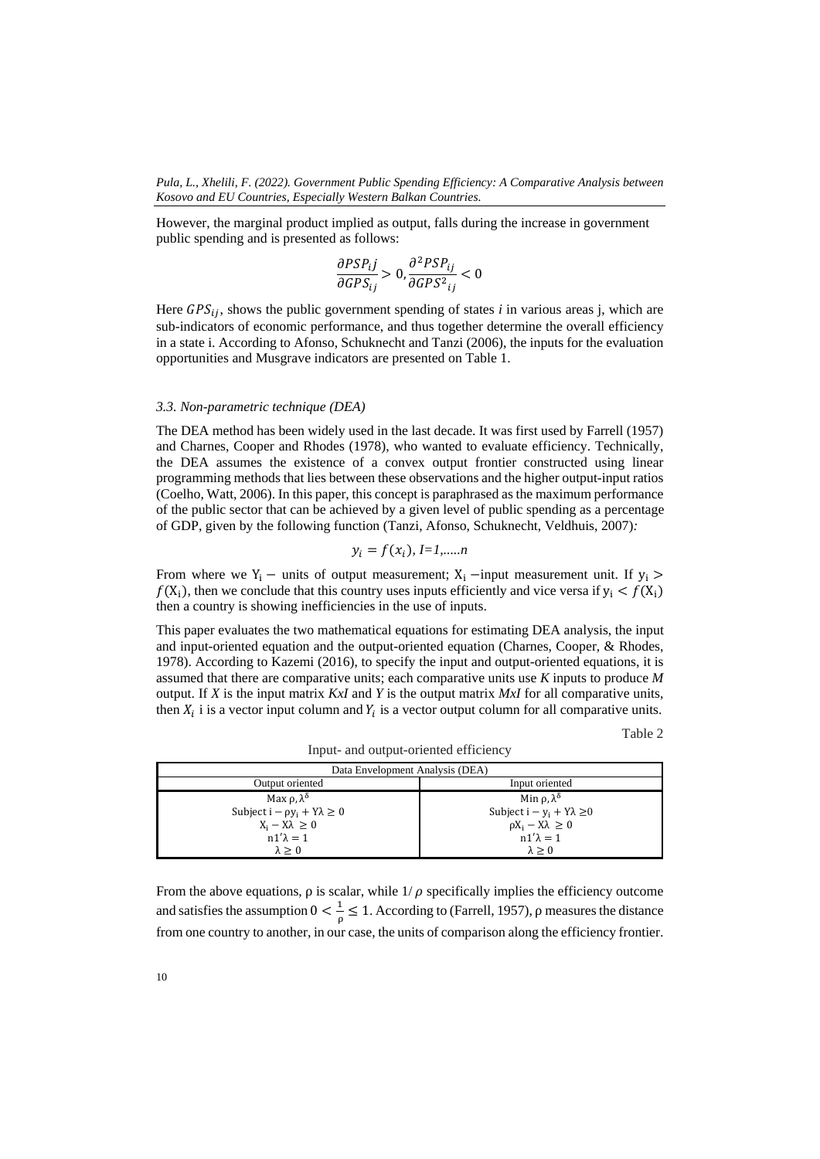However, the marginal product implied as output, falls during the increase in government public spending and is presented as follows:

$$
\frac{\partial PSP_{ij}}{\partial GPS_{ij}} > 0, \frac{\partial^2 PSP_{ij}}{\partial GPS_{ij}^2} < 0
$$

Here  $GPS_{ii}$ , shows the public government spending of states *i* in various areas j, which are sub-indicators of economic performance, and thus together determine the overall efficiency in a state i. According to Afonso, Schuknecht and Tanzi (2006), the inputs for the evaluation opportunities and Musgrave indicators are presented on Table 1.

## *3.3. Non-parametric technique (DEA)*

The DEA method has been widely used in the last decade. It was first used by Farrell (1957) and Charnes, Cooper and Rhodes (1978), who wanted to evaluate efficiency. Technically, the DEA assumes the existence of a convex output frontier constructed using linear programming methods that lies between these observations and the higher output-input ratios (Coelho, Watt, 2006). In this paper, this concept is paraphrased as the maximum performance of the public sector that can be achieved by a given level of public spending as a percentage of GDP, given by the following function (Tanzi, Afonso, Schuknecht, Veldhuis, 2007)*:*

$$
y_i = f(x_i), \, l = l, \dots n
$$

From where we Y<sub>i</sub> – units of output measurement; X<sub>i</sub> –input measurement unit. If y<sub>i</sub> >  $f(X_i)$ , then we conclude that this country uses inputs efficiently and vice versa if  $y_i < f(X_i)$ then a country is showing inefficiencies in the use of inputs.

This paper evaluates the two mathematical equations for estimating DEA analysis, the input and input-oriented equation and the output-oriented equation (Charnes, Cooper, & Rhodes, 1978). According to Kazemi (2016), to specify the input and output-oriented equations, it is assumed that there are comparative units; each comparative units use *K* inputs to produce *M* output. If *X* is the input matrix *KxI* and *Y* is the output matrix *MxI* for all comparative units, then  $X_i$  i is a vector input column and  $Y_i$  is a vector output column for all comparative units.

Table 2

Data Envelopment Analysis (DEA) Output oriented Input oriented Input oriented Max  $ρ, λ<sup>δ</sup>$ Subject i  $-\rho y_i + Y\lambda \geq 0$  $X_i - X\lambda \geq 0$  $n1'\lambda = 1$  $λ > 0$ Min  $ρ, λ<sup>δ</sup>$ Subject i − y<sub>i</sub> + Yλ ≥0  $\rho X_i - X\lambda^i \geq 0$  $n1'\lambda = 1$  $λ > 0$ 

Input- and output-oriented efficiency

From the above equations,  $\rho$  is scalar, while  $1/\rho$  specifically implies the efficiency outcome and satisfies the assumption  $0 < \frac{1}{\rho} \le 1$ . According to (Farrell, 1957),  $\rho$  measures the distance from one country to another, in our case, the units of comparison along the efficiency frontier.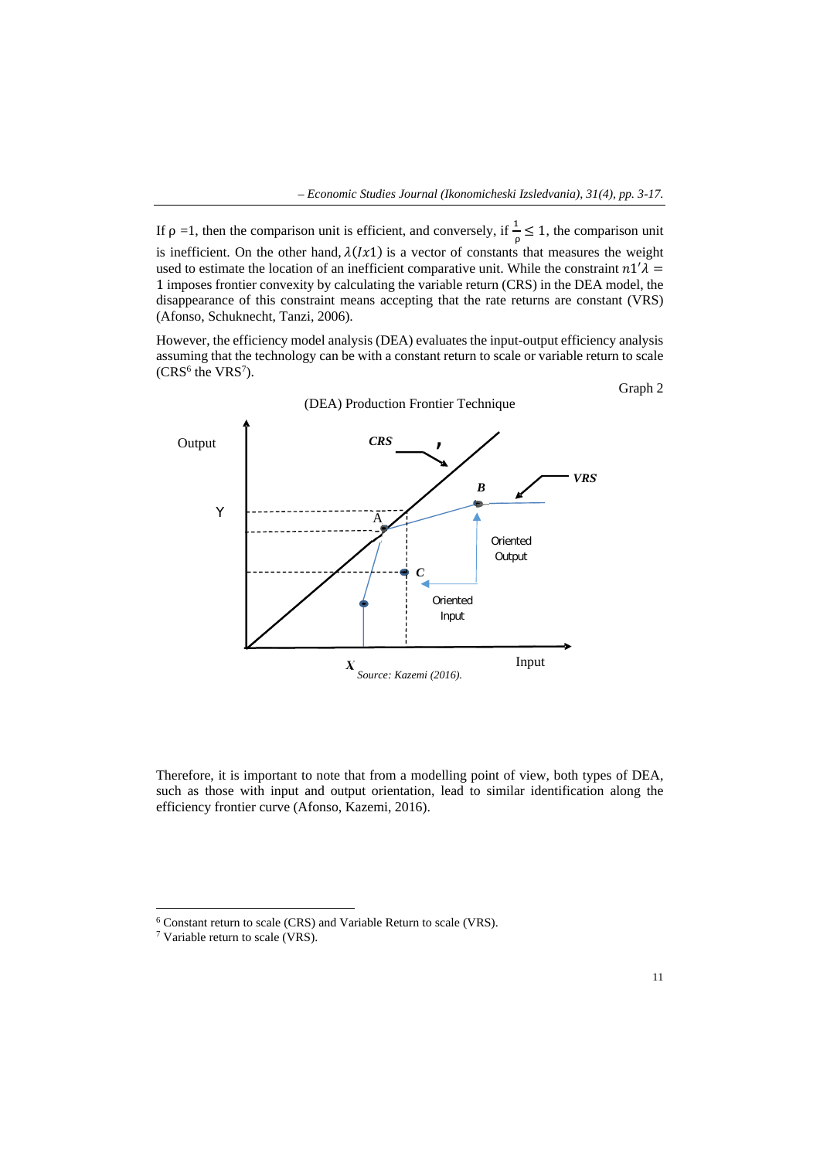If  $\rho = 1$ , then the comparison unit is efficient, and conversely, if  $\frac{1}{\rho} \leq 1$ , the comparison unit is inefficient. On the other hand,  $\lambda(Ix1)$  is a vector of constants that measures the weight used to estimate the location of an inefficient comparative unit. While the constraint  $n1/\lambda =$ 1 imposes frontier convexity by calculating the variable return (CRS) in the DEA model, the disappearance of this constraint means accepting that the rate returns are constant (VRS) (Afonso, Schuknecht, Tanzi, 2006).

However, the efficiency model analysis (DEA) evaluates the input-output efficiency analysis assuming that the technology can be with a constant return to scale or variable return to scale  $(CRS<sup>6</sup>$  the VRS<sup>7</sup>).



Therefore, it is important to note that from a modelling point of view, both types of DEA, such as those with input and output orientation, lead to similar identification along the efficiency frontier curve (Afonso, Kazemi, 2016).

 $\overline{a}$ 

 $^6$  Constant return to scale (CRS) and Variable Return to scale (VRS).  $^7$  Variable return to scale (VRS).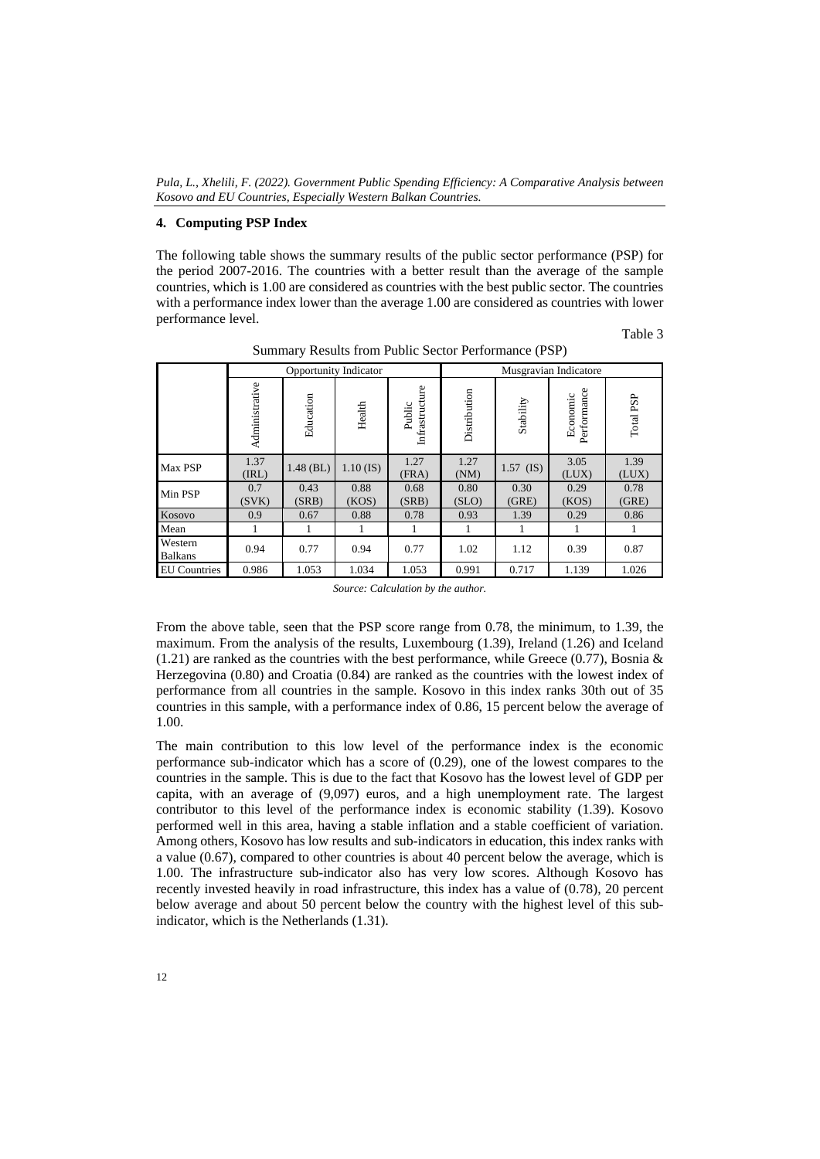## **4. Computing PSP Index**

The following table shows the summary results of the public sector performance (PSP) for the period 2007-2016. The countries with a better result than the average of the sample countries, which is 1.00 are considered as countries with the best public sector. The countries with a performance index lower than the average 1.00 are considered as countries with lower performance level.

Table 3

|                           | <b>Opportunity Indicator</b> |               |               |                          | Musgravian Indicatore |               |                         |               |
|---------------------------|------------------------------|---------------|---------------|--------------------------|-----------------------|---------------|-------------------------|---------------|
|                           | Administrative               | Education     | Health        | Infrastructure<br>Public | Distribution          | Stability     | Performance<br>Economic | Total PSP     |
| Max PSP                   | 1.37<br>(IRL)                | $1.48$ (BL)   | $1.10$ (IS)   | 1.27<br>(FRA)            | 1.27<br>(NM)          | $1.57$ (IS)   | 3.05<br>(LUX)           | 1.39<br>(LUX) |
| Min PSP                   | 0.7<br>(SVK)                 | 0.43<br>(SRB) | 0.88<br>(KOS) | 0.68<br>(SRB)            | 0.80<br>(SLO)         | 0.30<br>(GRE) | 0.29<br>(KOS)           | 0.78<br>(GRE) |
| Kosovo                    | 0.9                          | 0.67          | 0.88          | 0.78                     | 0.93                  | 1.39          | 0.29                    | 0.86          |
| Mean                      |                              |               | 1             | 1                        | 1                     | 1             | 1                       |               |
| Western<br><b>Balkans</b> | 0.94                         | 0.77          | 0.94          | 0.77                     | 1.02                  | 1.12          | 0.39                    | 0.87          |
| <b>EU</b> Countries       | 0.986                        | 1.053         | 1.034         | 1.053                    | 0.991                 | 0.717         | 1.139                   | 1.026         |

Summary Results from Public Sector Performance (PSP)

*Source: Calculation by the author.*

From the above table, seen that the PSP score range from 0.78, the minimum, to 1.39, the maximum. From the analysis of the results, Luxembourg (1.39), Ireland (1.26) and Iceland (1.21) are ranked as the countries with the best performance, while Greece (0.77), Bosnia  $\&$ Herzegovina (0.80) and Croatia (0.84) are ranked as the countries with the lowest index of performance from all countries in the sample. Kosovo in this index ranks 30th out of 35 countries in this sample, with a performance index of 0.86, 15 percent below the average of 1.00.

The main contribution to this low level of the performance index is the economic performance sub-indicator which has a score of (0.29), one of the lowest compares to the countries in the sample. This is due to the fact that Kosovo has the lowest level of GDP per capita, with an average of (9,097) euros, and a high unemployment rate. The largest contributor to this level of the performance index is economic stability (1.39). Kosovo performed well in this area, having a stable inflation and a stable coefficient of variation. Among others, Kosovo has low results and sub-indicators in education, this index ranks with a value (0.67), compared to other countries is about 40 percent below the average, which is 1.00. The infrastructure sub-indicator also has very low scores. Although Kosovo has recently invested heavily in road infrastructure, this index has a value of (0.78), 20 percent below average and about 50 percent below the country with the highest level of this subindicator, which is the Netherlands (1.31).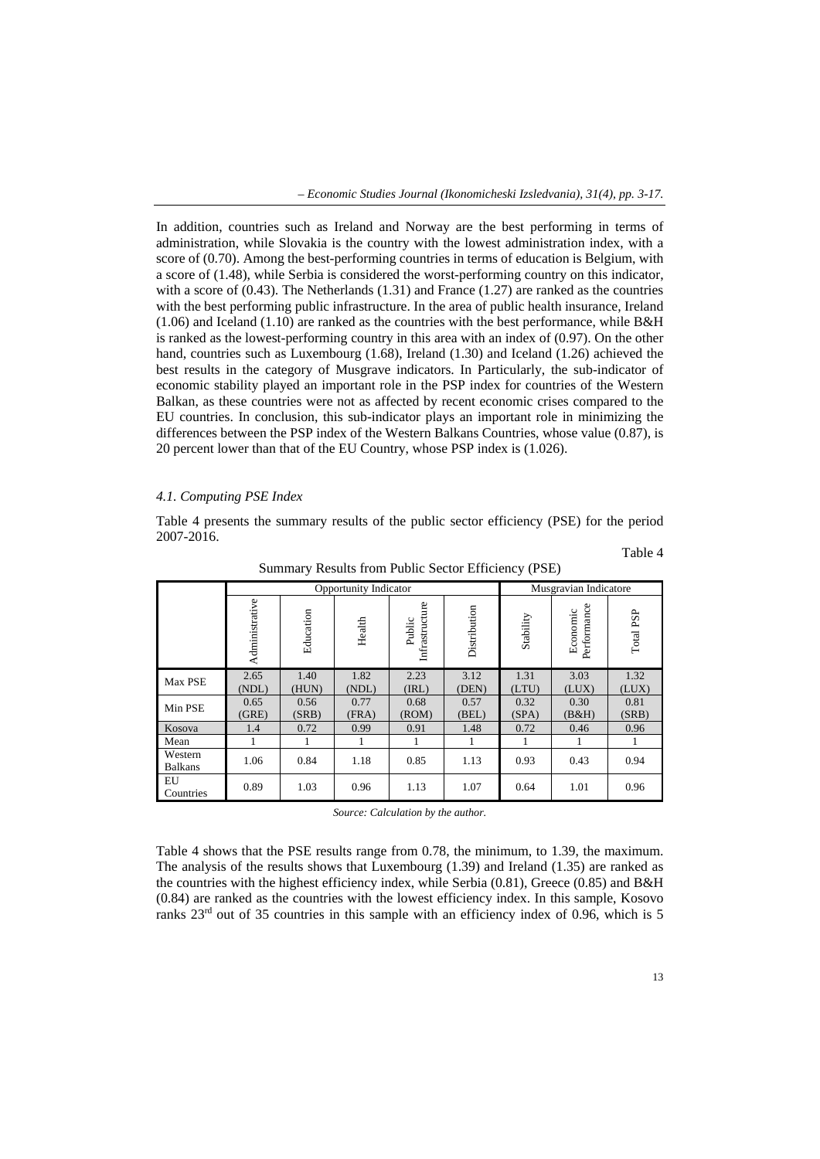In addition, countries such as Ireland and Norway are the best performing in terms of administration, while Slovakia is the country with the lowest administration index, with a score of (0.70). Among the best-performing countries in terms of education is Belgium, with a score of (1.48), while Serbia is considered the worst-performing country on this indicator, with a score of  $(0.43)$ . The Netherlands  $(1.31)$  and France  $(1.27)$  are ranked as the countries with the best performing public infrastructure. In the area of public health insurance, Ireland (1.06) and Iceland (1.10) are ranked as the countries with the best performance, while B&H is ranked as the lowest-performing country in this area with an index of (0.97). On the other hand, countries such as Luxembourg (1.68), Ireland (1.30) and Iceland (1.26) achieved the best results in the category of Musgrave indicators. In Particularly, the sub-indicator of economic stability played an important role in the PSP index for countries of the Western Balkan, as these countries were not as affected by recent economic crises compared to the EU countries. In conclusion, this sub-indicator plays an important role in minimizing the differences between the PSP index of the Western Balkans Countries, whose value (0.87), is 20 percent lower than that of the EU Country, whose PSP index is (1.026).

#### *4.1. Computing PSE Index*

Table 4 presents the summary results of the public sector efficiency (PSE) for the period 2007-2016.

Table 4

|                           | <b>Opportunity Indicator</b> |               |               |                          |               | Musgravian Indicatore |                         |               |
|---------------------------|------------------------------|---------------|---------------|--------------------------|---------------|-----------------------|-------------------------|---------------|
|                           | Administrative               | Education     | Health        | Infrastructure<br>Public | Distribution  | Stability             | Performance<br>Economic | Total PSP     |
| Max PSE                   | 2.65<br>(NDL)                | 1.40<br>(HUN) | 1.82<br>(NDL) | 2.23<br>(IRL)            | 3.12<br>(DEN) | 1.31<br>(LTU)         | 3.03<br>(LUX)           | 1.32<br>(LUX) |
| Min PSE                   | 0.65<br>(GRE)                | 0.56<br>(SRB) | 0.77<br>(FRA) | 0.68<br>(ROM)            | 0.57<br>(BEL) | 0.32<br>(SPA)         | 0.30<br>(B&H)           | 0.81<br>(SRB) |
| Kosova                    | 1.4                          | 0.72          | 0.99          | 0.91                     | 1.48          | 0.72                  | 0.46                    | 0.96          |
| Mean                      |                              |               |               |                          |               |                       |                         |               |
| Western<br><b>Balkans</b> | 1.06                         | 0.84          | 1.18          | 0.85                     | 1.13          | 0.93                  | 0.43                    | 0.94          |
| EU<br>Countries           | 0.89                         | 1.03          | 0.96          | 1.13                     | 1.07          | 0.64                  | 1.01                    | 0.96          |

Summary Results from Public Sector Efficiency (PSE)

*Source: Calculation by the author.* 

Table 4 shows that the PSE results range from 0.78, the minimum, to 1.39, the maximum. The analysis of the results shows that Luxembourg (1.39) and Ireland (1.35) are ranked as the countries with the highest efficiency index, while Serbia (0.81), Greece (0.85) and B&H (0.84) are ranked as the countries with the lowest efficiency index. In this sample, Kosovo ranks  $23<sup>rd</sup>$  out of 35 countries in this sample with an efficiency index of 0.96, which is 5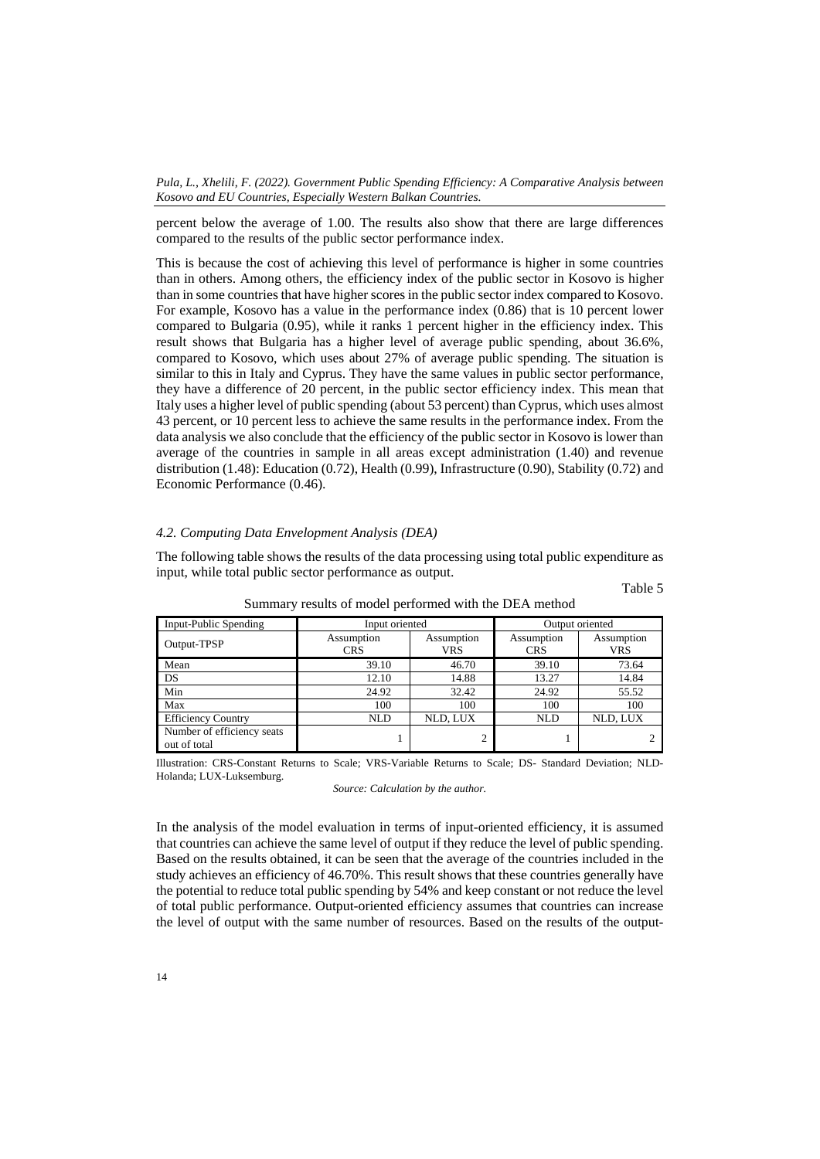percent below the average of 1.00. The results also show that there are large differences compared to the results of the public sector performance index.

This is because the cost of achieving this level of performance is higher in some countries than in others. Among others, the efficiency index of the public sector in Kosovo is higher than in some countries that have higher scores in the public sector index compared to Kosovo. For example, Kosovo has a value in the performance index (0.86) that is 10 percent lower compared to Bulgaria (0.95), while it ranks 1 percent higher in the efficiency index. This result shows that Bulgaria has a higher level of average public spending, about 36.6%, compared to Kosovo, which uses about 27% of average public spending. The situation is similar to this in Italy and Cyprus. They have the same values in public sector performance, they have a difference of 20 percent, in the public sector efficiency index. This mean that Italy uses a higher level of public spending (about 53 percent) than Cyprus, which uses almost 43 percent, or 10 percent less to achieve the same results in the performance index. From the data analysis we also conclude that the efficiency of the public sector in Kosovo is lower than average of the countries in sample in all areas except administration (1.40) and revenue distribution (1.48): Education (0.72), Health (0.99), Infrastructure (0.90), Stability (0.72) and Economic Performance (0.46).

## *4.2. Computing Data Envelopment Analysis (DEA)*

The following table shows the results of the data processing using total public expenditure as input, while total public sector performance as output.

| Input-Public Spending                      | Input oriented           |                   | Output oriented          |                          |  |
|--------------------------------------------|--------------------------|-------------------|--------------------------|--------------------------|--|
| Output-TPSP                                | Assumption<br><b>CRS</b> | Assumption<br>VRS | Assumption<br><b>CRS</b> | Assumption<br><b>VRS</b> |  |
| Mean                                       | 39.10                    | 46.70             | 39.10                    | 73.64                    |  |
| DS                                         | 12.10                    | 14.88             | 13.27                    | 14.84                    |  |
| Min                                        | 24.92                    | 32.42             | 24.92                    | 55.52                    |  |
| Max                                        | 100                      | 100               | 100                      | 100                      |  |
| <b>Efficiency Country</b>                  | <b>NLD</b>               | NLD. LUX          | <b>NLD</b>               | NLD, LUX                 |  |
| Number of efficiency seats<br>out of total |                          | 2                 |                          |                          |  |

Summary results of model performed with the DEA method

Table 5

Illustration: CRS-Constant Returns to Scale; VRS-Variable Returns to Scale; DS- Standard Deviation; NLD-Holanda; LUX-Luksemburg.

*Source: Calculation by the author.* 

In the analysis of the model evaluation in terms of input-oriented efficiency, it is assumed that countries can achieve the same level of output if they reduce the level of public spending. Based on the results obtained, it can be seen that the average of the countries included in the study achieves an efficiency of 46.70%. This result shows that these countries generally have the potential to reduce total public spending by 54% and keep constant or not reduce the level of total public performance. Output-oriented efficiency assumes that countries can increase the level of output with the same number of resources. Based on the results of the output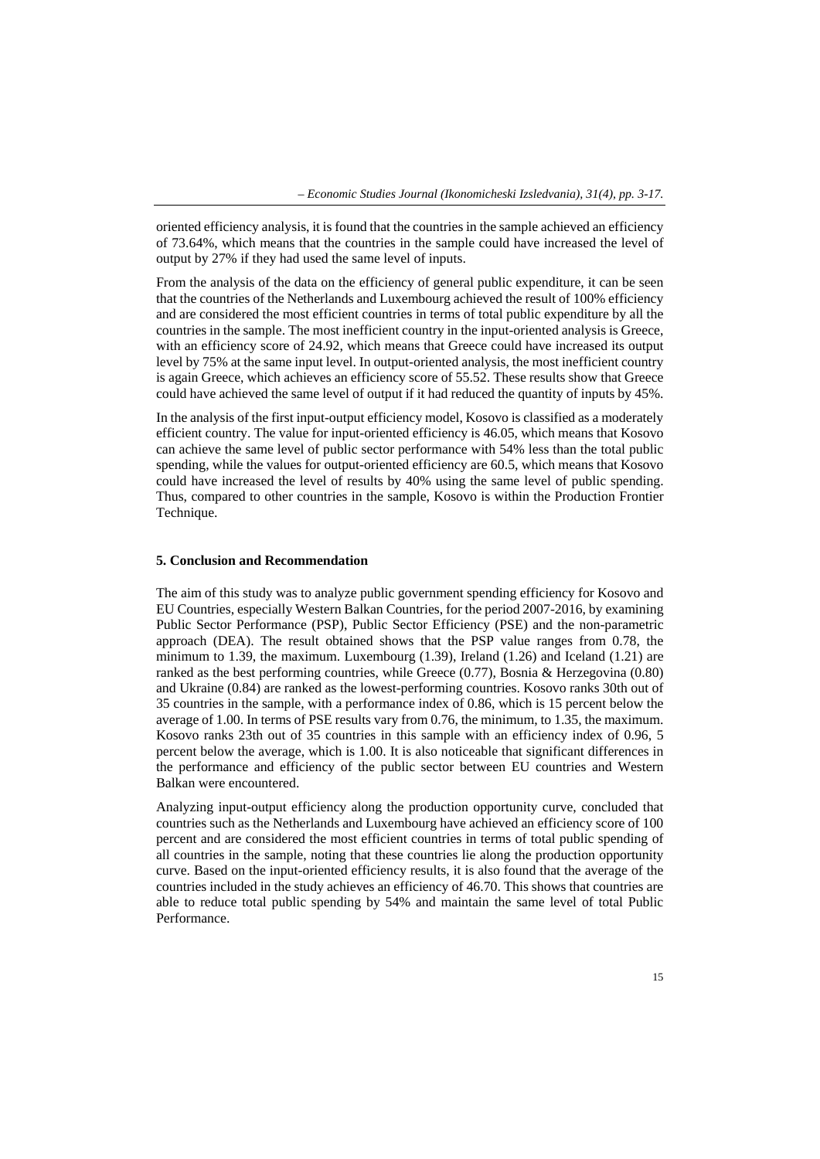oriented efficiency analysis, it is found that the countries in the sample achieved an efficiency of 73.64%, which means that the countries in the sample could have increased the level of output by 27% if they had used the same level of inputs.

From the analysis of the data on the efficiency of general public expenditure, it can be seen that the countries of the Netherlands and Luxembourg achieved the result of 100% efficiency and are considered the most efficient countries in terms of total public expenditure by all the countries in the sample. The most inefficient country in the input-oriented analysis is Greece, with an efficiency score of 24.92, which means that Greece could have increased its output level by 75% at the same input level. In output-oriented analysis, the most inefficient country is again Greece, which achieves an efficiency score of 55.52. These results show that Greece could have achieved the same level of output if it had reduced the quantity of inputs by 45%.

In the analysis of the first input-output efficiency model, Kosovo is classified as a moderately efficient country. The value for input-oriented efficiency is 46.05, which means that Kosovo can achieve the same level of public sector performance with 54% less than the total public spending, while the values for output-oriented efficiency are 60.5, which means that Kosovo could have increased the level of results by 40% using the same level of public spending. Thus, compared to other countries in the sample, Kosovo is within the Production Frontier Technique.

## **5. Conclusion and Recommendation**

The aim of this study was to analyze public government spending efficiency for Kosovo and EU Countries, especially Western Balkan Countries, for the period 2007-2016, by examining Public Sector Performance (PSP), Public Sector Efficiency (PSE) and the non-parametric approach (DEA). The result obtained shows that the PSP value ranges from 0.78, the minimum to 1.39, the maximum. Luxembourg (1.39), Ireland (1.26) and Iceland (1.21) are ranked as the best performing countries, while Greece (0.77), Bosnia & Herzegovina (0.80) and Ukraine (0.84) are ranked as the lowest-performing countries. Kosovo ranks 30th out of 35 countries in the sample, with a performance index of 0.86, which is 15 percent below the average of 1.00. In terms of PSE results vary from 0.76, the minimum, to 1.35, the maximum. Kosovo ranks 23th out of 35 countries in this sample with an efficiency index of 0.96, 5 percent below the average, which is 1.00. It is also noticeable that significant differences in the performance and efficiency of the public sector between EU countries and Western Balkan were encountered.

Analyzing input-output efficiency along the production opportunity curve, concluded that countries such as the Netherlands and Luxembourg have achieved an efficiency score of 100 percent and are considered the most efficient countries in terms of total public spending of all countries in the sample, noting that these countries lie along the production opportunity curve. Based on the input-oriented efficiency results, it is also found that the average of the countries included in the study achieves an efficiency of 46.70. This shows that countries are able to reduce total public spending by 54% and maintain the same level of total Public Performance.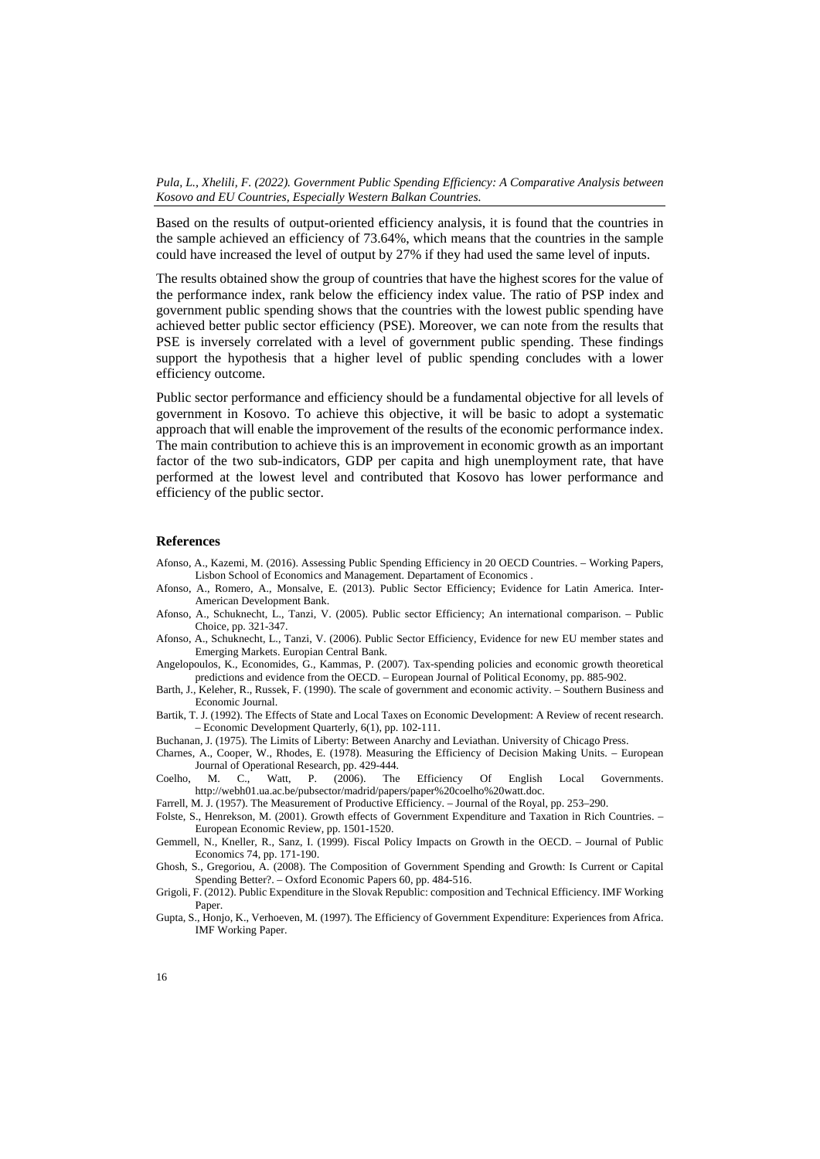Based on the results of output-oriented efficiency analysis, it is found that the countries in the sample achieved an efficiency of 73.64%, which means that the countries in the sample could have increased the level of output by 27% if they had used the same level of inputs.

The results obtained show the group of countries that have the highest scores for the value of the performance index, rank below the efficiency index value. The ratio of PSP index and government public spending shows that the countries with the lowest public spending have achieved better public sector efficiency (PSE). Moreover, we can note from the results that PSE is inversely correlated with a level of government public spending. These findings support the hypothesis that a higher level of public spending concludes with a lower efficiency outcome.

Public sector performance and efficiency should be a fundamental objective for all levels of government in Kosovo. To achieve this objective, it will be basic to adopt a systematic approach that will enable the improvement of the results of the economic performance index. The main contribution to achieve this is an improvement in economic growth as an important factor of the two sub-indicators, GDP per capita and high unemployment rate, that have performed at the lowest level and contributed that Kosovo has lower performance and efficiency of the public sector.

#### **References**

- Afonso, A., Kazemi, M. (2016). Assessing Public Spending Efficiency in 20 OECD Countries. Working Papers, Lisbon School of Economics and Management. Departament of Economics .
- Afonso, A., Romero, A., Monsalve, E. (2013). Public Sector Efficiency; Evidence for Latin America. Inter-American Development Bank.
- Afonso, A., Schuknecht, L., Tanzi, V. (2005). Public sector Efficiency; An international comparison. Public Choice, pp. 321-347.
- Afonso, A., Schuknecht, L., Tanzi, V. (2006). Public Sector Efficiency, Evidence for new EU member states and Emerging Markets. Europian Central Bank.
- Angelopoulos, K., Economides, G., Kammas, P. (2007). Tax-spending policies and economic growth theoretical predictions and evidence from the OECD. – European Journal of Political Economy, pp. 885-902.
- Barth, J., Keleher, R., Russek, F. (1990). The scale of government and economic activity. Southern Business and Economic Journal.
- Bartik, T. J. (1992). The Effects of State and Local Taxes on Economic Development: A Review of recent research. – Economic Development Quarterly, 6(1), pp. 102-111.
- Buchanan, J. (1975). The Limits of Liberty: Between Anarchy and Leviathan. University of Chicago Press.
- Charnes, A., Cooper, W., Rhodes, E. (1978). Measuring the Efficiency of Decision Making Units. European Journal of Operational Research, pp. 429-444.
- Coelho, M. C., Watt, P. (2006). The Efficiency Of English Local Governments. http://webh01.ua.ac.be/pubsector/madrid/papers/paper%20coelho%20watt.doc.
- Farrell, M. J. (1957). The Measurement of Productive Efficiency. Journal of the Royal, pp. 253–290.
- Folste, S., Henrekson, M. (2001). Growth effects of Government Expenditure and Taxation in Rich Countries. European Economic Review, pp. 1501-1520.
- Gemmell, N., Kneller, R., Sanz, I. (1999). Fiscal Policy Impacts on Growth in the OECD. Journal of Public Economics 74, pp. 171-190.
- Ghosh, S., Gregoriou, A. (2008). The Composition of Government Spending and Growth: Is Current or Capital Spending Better?. – Oxford Economic Papers 60, pp. 484-516.
- Grigoli, F. (2012). Public Expenditure in the Slovak Republic: composition and Technical Efficiency. IMF Working Paper.
- Gupta, S., Honjo, K., Verhoeven, M. (1997). The Efficiency of Government Expenditure: Experiences from Africa. IMF Working Paper.